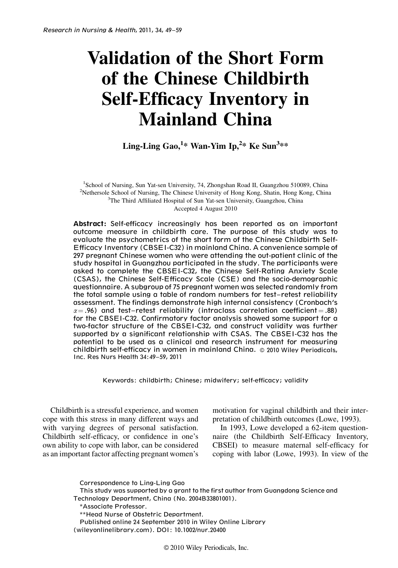# Validation of the Short Form of the Chinese Childbirth Self-Efficacy Inventory in Mainland China

Ling-Ling Gao,<sup>1</sup>\* Wan-Yim Ip,<sup>2</sup>\* Ke Sun<sup>3</sup>\*\*

<sup>1</sup>School of Nursing, Sun Yat-sen University, 74, Zhongshan Road II, Guangzhou 510089, China<br><sup>2</sup>Netherole School of Nursing, The Chinese University of Hong Kong, Shatin, Hong Kong, China <sup>2</sup>Nethersole School of Nursing, The Chinese University of Hong Kong, Shatin, Hong Kong, China  $3$ The Third Affiliated Hospital of Sun Yat-sen University, Guangzhou, China Accepted 4 August 2010

Abstract: Self-efficacy increasingly has been reported as an important outcome measure in childbirth care. The purpose of this study was to evaluate the psychometrics of the short form of the Chinese Childbirth Self-Efficacy Inventory (CBSEI-C32) in mainland China. A convenience sample of 297 pregnant Chinese women who were attending the out-patient clinic of the study hospital in Guangzhou participated in the study. The participants were asked to complete the CBSEI-C32, the Chinese Self-Rating Anxiety Scale (CSAS), the Chinese Self-Efficacy Scale (CSE) and the socio-demographic questionnaire. A subgroup of 75 pregnant women was selected randomly from the total sample using a table of random numbers for test–retest reliability assessment. The findings demonstrate high internal consistency (Cronbach's  $\alpha = .96$ ) and test–retest reliability (intraclass correlation coefficient  $= .88$ ) for the CBSEI-C32. Confirmatory factor analysis showed some support for a two-factor structure of the CBSEI-C32, and construct validity was further supported by a significant relationship with CSAS. The CBSEI-C32 has the potential to be used as a clinical and research instrument for measuring childbirth self-efficacy in women in mainland China. © 2010 Wiley Periodicals, Inc. Res Nurs Health 34:49–59, 2011

Keywords: childbirth; Chinese; midwifery; self-efficacy; validity

Childbirth is a stressful experience, and women cope with this stress in many different ways and with varying degrees of personal satisfaction. Childbirth self-efficacy, or confidence in one's own ability to cope with labor, can be considered as an important factor affecting pregnant women's motivation for vaginal childbirth and their interpretation of childbirth outcomes (Lowe, 1993).

In 1993, Lowe developed a 62-item questionnaire (the Childbirth Self-Efficacy Inventory, CBSEI) to measure maternal self-efficacy for coping with labor (Lowe, 1993). In view of the

Correspondence to Ling-Ling Gao

This study was supported by a grant to the first author from Guangdong Science and Technology Department, China (No. 2004B33801001).

\*Associate Professor.

<sup>\*\*</sup>Head Nurse of Obstetric Department.

Published online 24 September 2010 in Wiley Online Library (wileyonlinelibrary.com). DOI: 10.1002/nur.20400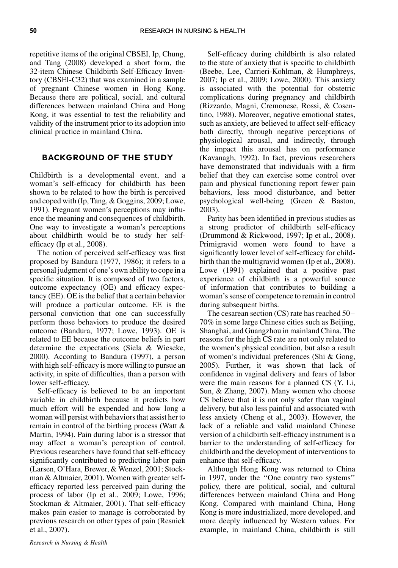repetitive items of the original CBSEI, Ip, Chung, and Tang (2008) developed a short form, the 32-item Chinese Childbirth Self-Efficacy Inventory (CBSEI-C32) that was examined in a sample of pregnant Chinese women in Hong Kong. Because there are political, social, and cultural differences between mainland China and Hong Kong, it was essential to test the reliability and validity of the instrument prior to its adoption into clinical practice in mainland China.

## BACKGROUND OF THE STUDY

Childbirth is a developmental event, and a woman's self-efficacy for childbirth has been shown to be related to how the birth is perceived and coped with (Ip, Tang, & Goggins, 2009; Lowe, 1991). Pregnant women's perceptions may influence the meaning and consequences of childbirth. One way to investigate a woman's perceptions about childbirth would be to study her selfefficacy (Ip et al., 2008).

The notion of perceived self-efficacy was first proposed by Bandura (1977, 1986); it refers to a personal judgment of one's own ability to cope in a specific situation. It is composed of two factors, outcome expectancy (OE) and efficacy expectancy (EE). OE is the belief that a certain behavior will produce a particular outcome. EE is the personal conviction that one can successfully perform those behaviors to produce the desired outcome (Bandura, 1977; Lowe, 1993). OE is related to EE because the outcome beliefs in part determine the expectations (Siela & Wieseke, 2000). According to Bandura (1997), a person with high self-efficacy is more willing to pursue an activity, in spite of difficulties, than a person with lower self-efficacy.

Self-efficacy is believed to be an important variable in childbirth because it predicts how much effort will be expended and how long a woman will persist with behaviors that assist her to remain in control of the birthing process (Watt & Martin, 1994). Pain during labor is a stressor that may affect a woman's perception of control. Previous researchers have found that self-efficacy significantly contributed to predicting labor pain (Larsen, O'Hara, Brewer, & Wenzel, 2001; Stockman & Altmaier, 2001). Women with greater selfefficacy reported less perceived pain during the process of labor (Ip et al., 2009; Lowe, 1996; Stockman & Altmaier, 2001). That self-efficacy makes pain easier to manage is corroborated by previous research on other types of pain (Resnick et al., 2007).

Self-efficacy during childbirth is also related to the state of anxiety that is specific to childbirth (Beebe, Lee, Carrieri-Kohlman, & Humphreys, 2007; Ip et al., 2009; Lowe, 2000). This anxiety is associated with the potential for obstetric complications during pregnancy and childbirth (Rizzardo, Magni, Cremonese, Rossi, & Cosentino, 1988). Moreover, negative emotional states, such as anxiety, are believed to affect self-efficacy both directly, through negative perceptions of physiological arousal, and indirectly, through the impact this arousal has on performance (Kavanagh, 1992). In fact, previous researchers have demonstrated that individuals with a firm belief that they can exercise some control over pain and physical functioning report fewer pain behaviors, less mood disturbance, and better psychological well-being (Green & Baston, 2003).

Parity has been identified in previous studies as a strong predictor of childbirth self-efficacy (Drummond & Rickwood, 1997; Ip et al., 2008). Primigravid women were found to have a significantly lower level of self-efficacy for childbirth than the multigravid women (Ip et al., 2008). Lowe (1991) explained that a positive past experience of childbirth is a powerful source of information that contributes to building a woman's sense of competence to remain in control during subsequent births.

The cesarean section (CS) rate has reached 50– 70% in some large Chinese cities such as Beijing, Shanghai, and Guangzhou in mainland China. The reasons for the high CS rate are not only related to the women's physical condition, but also a result of women's individual preferences (Shi & Gong, 2005). Further, it was shown that lack of confidence in vaginal delivery and fears of labor were the main reasons for a planned CS (Y. Li, Sun, & Zhang, 2007). Many women who choose CS believe that it is not only safer than vaginal delivery, but also less painful and associated with less anxiety (Cheng et al., 2003). However, the lack of a reliable and valid mainland Chinese version of a childbirth self-efficacy instrument is a barrier to the understanding of self-efficacy for childbirth and the development of interventions to enhance that self-efficacy.

Although Hong Kong was returned to China in 1997, under the ''One country two systems'' policy, there are political, social, and cultural differences between mainland China and Hong Kong. Compared with mainland China, Hong Kong is more industrialized, more developed, and more deeply influenced by Western values. For example, in mainland China, childbirth is still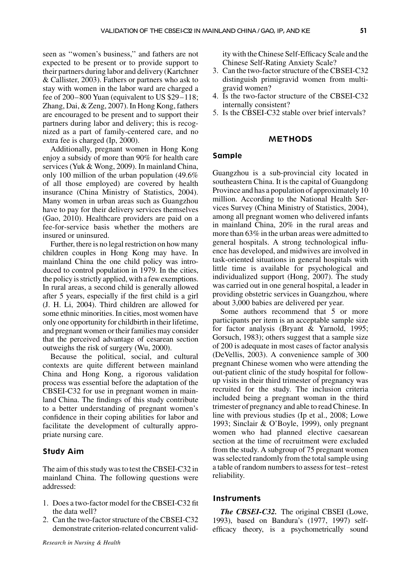seen as ''women's business,'' and fathers are not expected to be present or to provide support to their partners during labor and delivery (Kartchner & Callister, 2003). Fathers or partners who ask to stay with women in the labor ward are charged a fee of 200–800 Yuan (equivalent to US \$29–118; Zhang, Dai, & Zeng, 2007). In Hong Kong, fathers are encouraged to be present and to support their partners during labor and delivery; this is recognized as a part of family-centered care, and no extra fee is charged (Ip, 2000).

Additionally, pregnant women in Hong Kong enjoy a subsidy of more than 90% for health care services (Yuk & Wong, 2009). In mainland China, only 100 million of the urban population (49.6% of all those employed) are covered by health insurance (China Ministry of Statistics, 2004). Many women in urban areas such as Guangzhou have to pay for their delivery services themselves (Gao, 2010). Healthcare providers are paid on a fee-for-service basis whether the mothers are insured or uninsured.

Further, there is no legal restriction on how many children couples in Hong Kong may have. In mainland China the one child policy was introduced to control population in 1979. In the cities, the policy is strictly applied, with a few exemptions. In rural areas, a second child is generally allowed after 5 years, especially if the first child is a girl (J. H. Li, 2004). Third children are allowed for some ethnic minorities. In cities, most women have only one opportunity for childbirth in their lifetime, and pregnant women or their families may consider that the perceived advantage of cesarean section outweighs the risk of surgery (Wu, 2000).

Because the political, social, and cultural contexts are quite different between mainland China and Hong Kong, a rigorous validation process was essential before the adaptation of the CBSEI-C32 for use in pregnant women in mainland China. The findings of this study contribute to a better understanding of pregnant women's confidence in their coping abilities for labor and facilitate the development of culturally appropriate nursing care.

# Study Aim

The aim of this study was to test the CBSEI-C32 in mainland China. The following questions were addressed:

- 1. Does a two-factor model for the CBSEI-C32 fit the data well?
- 2. Can the two-factor structure of the CBSEI-C32 demonstrate criterion-related concurrent valid-

ity with the Chinese Self-Efficacy Scale and the Chinese Self-Rating Anxiety Scale?

- 3. Can the two-factor structure of the CBSEI-C32 distinguish primigravid women from multigravid women?
- 4. Is the two-factor structure of the CBSEI-C32 internally consistent?
- 5. Is the CBSEI-C32 stable over brief intervals?

# **METHODS**

#### Sample

Guangzhou is a sub-provincial city located in southeastern China. It is the capital of Guangdong Province and has a population of approximately 10 million. According to the National Health Services Survey (China Ministry of Statistics, 2004), among all pregnant women who delivered infants in mainland China, 20% in the rural areas and more than 63% in the urban areas were admitted to general hospitals. A strong technological influence has developed, and midwives are involved in task-oriented situations in general hospitals with little time is available for psychological and individualized support (Hong, 2007). The study was carried out in one general hospital, a leader in providing obstetric services in Guangzhou, where about 3,000 babies are delivered per year.

Some authors recommend that 5 or more participants per item is an acceptable sample size for factor analysis (Bryant & Yarnold, 1995; Gorsuch, 1983); others suggest that a sample size of 200 is adequate in most cases of factor analysis (DeVellis, 2003). A convenience sample of 300 pregnant Chinese women who were attending the out-patient clinic of the study hospital for followup visits in their third trimester of pregnancy was recruited for the study. The inclusion criteria included being a pregnant woman in the third trimester of pregnancy and able to read Chinese. In line with previous studies (Ip et al., 2008; Lowe 1993; Sinclair & O'Boyle, 1999), only pregnant women who had planned elective caesarean section at the time of recruitment were excluded from the study. A subgroup of 75 pregnant women was selected randomly from the total sample using a table of random numbers to assess for test– retest reliability.

## **Instruments**

The CBSEI-C32. The original CBSEI (Lowe, 1993), based on Bandura's (1977, 1997) selfefficacy theory, is a psychometrically sound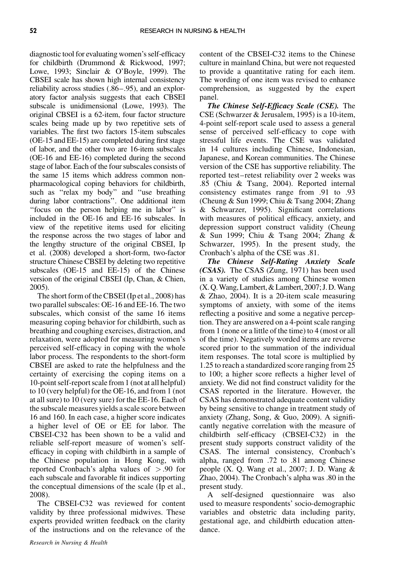diagnostic tool for evaluating women's self-efficacy for childbirth (Drummond & Rickwood, 1997; Lowe, 1993; Sinclair & O'Boyle, 1999). The CBSEI scale has shown high internal consistency reliability across studies (.86–.95), and an exploratory factor analysis suggests that each CBSEI subscale is unidimensional (Lowe, 1993). The original CBSEI is a 62-item, four factor structure scales being made up by two repetitive sets of variables. The first two factors 15-item subscales (OE-15 and EE-15) are completed during first stage of labor, and the other two are 16-item subscales (OE-16 and EE-16) completed during the second stage of labor. Each of the four subscales consists of the same 15 items which address common nonpharmacological coping behaviors for childbirth, such as ''relax my body'' and ''use breathing during labor contractions''. One additional item ''focus on the person helping me in labor'' is included in the OE-16 and EE-16 subscales. In view of the repetitive items used for eliciting the response across the two stages of labor and the lengthy structure of the original CBSEI, Ip et al. (2008) developed a short-form, two-factor structure Chinese CBSEI by deleting two repetitive subscales (OE-15 and EE-15) of the Chinese version of the original CBSEI (Ip, Chan, & Chien, 2005).

The short form of the CBSEI (Ip et al., 2008) has two parallel subscales: OE-16 and EE-16. The two subscales, which consist of the same 16 items measuring coping behavior for childbirth, such as breathing and coughing exercises, distraction, and relaxation, were adopted for measuring women's perceived self-efficacy in coping with the whole labor process. The respondents to the short-form CBSEI are asked to rate the helpfulness and the certainty of exercising the coping items on a 10-point self-report scale from 1 (not at all helpful) to 10 (very helpful) for the OE-16, and from 1 (not at all sure) to 10 (very sure) for the EE-16. Each of the subscale measures yields a scale score between 16 and 160. In each case, a higher score indicates a higher level of OE or EE for labor. The CBSEI-C32 has been shown to be a valid and reliable self-report measure of women's selfefficacy in coping with childbirth in a sample of the Chinese population in Hong Kong, with reported Cronbach's alpha values of > .90 for each subscale and favorable fit indices supporting the conceptual dimensions of the scale (Ip et al., 2008).

The CBSEI-C32 was reviewed for content validity by three professional midwives. These experts provided written feedback on the clarity of the instructions and on the relevance of the

content of the CBSEI-C32 items to the Chinese culture in mainland China, but were not requested to provide a quantitative rating for each item. The wording of one item was revised to enhance comprehension, as suggested by the expert panel.

The Chinese Self-Efficacy Scale (CSE). The CSE (Schwarzer & Jerusalem, 1995) is a 10-item, 4-point self-report scale used to assess a general sense of perceived self-efficacy to cope with stressful life events. The CSE was validated in 14 cultures including Chinese, Indonesian, Japanese, and Korean communities. The Chinese version of the CSE has supportive reliability. The reported test–retest reliability over 2 weeks was .85 (Chiu & Tsang, 2004). Reported internal consistency estimates range from .91 to .93 (Cheung & Sun 1999; Chiu & Tsang 2004; Zhang & Schwarzer, 1995). Significant correlations with measures of political efficacy, anxiety, and depression support construct validity (Cheung & Sun 1999; Chiu & Tsang 2004; Zhang & Schwarzer, 1995). In the present study, the Cronbach's alpha of the CSE was .81.

The Chinese Self-Rating Anxiety Scale (CSAS). The CSAS (Zung, 1971) has been used in a variety of studies among Chinese women (X. Q.Wang, Lambert, & Lambert, 2007; J. D.Wang & Zhao, 2004). It is a 20-item scale measuring symptoms of anxiety, with some of the items reflecting a positive and some a negative perception. They are answered on a 4-point scale ranging from 1 (none or a little of the time) to 4 (most or all of the time). Negatively worded items are reverse scored prior to the summation of the individual item responses. The total score is multiplied by 1.25 to reach a standardized score ranging from 25 to 100; a higher score reflects a higher level of anxiety. We did not find construct validity for the CSAS reported in the literature. However, the CSAS has demonstrated adequate content validity by being sensitive to change in treatment study of anxiety (Zhang, Song, & Guo, 2009). A significantly negative correlation with the measure of childbirth self-efficacy (CBSEI-C32) in the present study supports construct validity of the CSAS. The internal consistency, Cronbach's alpha, ranged from .72 to .81 among Chinese people (X. Q. Wang et al., 2007; J. D. Wang & Zhao, 2004). The Cronbach's alpha was .80 in the present study.

A self-designed questionnaire was also used to measure respondents' socio-demographic variables and obstetric data including parity, gestational age, and childbirth education attendance.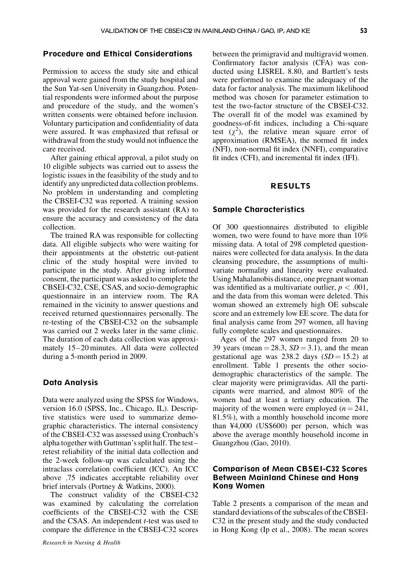# Procedure and Ethical Considerations

Permission to access the study site and ethical approval were gained from the study hospital and the Sun Yat-sen University in Guangzhou. Potential respondents were informed about the purpose and procedure of the study, and the women's written consents were obtained before inclusion. Voluntary participation and confidentiality of data were assured. It was emphasized that refusal or withdrawal from the study would not influence the care received.

After gaining ethical approval, a pilot study on 10 eligible subjects was carried out to assess the logistic issues in the feasibility of the study and to identify any unpredicted data collection problems. No problem in understanding and completing the CBSEI-C32 was reported. A training session was provided for the research assistant (RA) to ensure the accuracy and consistency of the data collection.

The trained RA was responsible for collecting data. All eligible subjects who were waiting for their appointments at the obstetric out-patient clinic of the study hospital were invited to participate in the study. After giving informed consent, the participant was asked to complete the CBSEI-C32, CSE, CSAS, and socio-demographic questionnaire in an interview room. The RA remained in the vicinity to answer questions and received returned questionnaires personally. The re-testing of the CBSEI-C32 on the subsample was carried out 2 weeks later in the same clinic. The duration of each data collection was approximately 15–20 minutes. All data were collected during a 5-month period in 2009.

## Data Analysis

Data were analyzed using the SPSS for Windows, version 16.0 (SPSS, Inc., Chicago, IL). Descriptive statistics were used to summarize demographic characteristics. The internal consistency of the CBSEI-C32 was assessed using Cronbach's alpha together with Guttman's split half. The test– retest reliability of the initial data collection and the 2-week follow-up was calculated using the intraclass correlation coefficient (ICC). An ICC above .75 indicates acceptable reliability over brief intervals (Portney & Watkins, 2000).

The construct validity of the CBSEI-C32 was examined by calculating the correlation coefficients of the CBSEI-C32 with the CSE and the CSAS. An independent  $t$ -test was used to compare the difference in the CBSEI-C32 scores between the primigravid and multigravid women. Confirmatory factor analysis (CFA) was conducted using LISREL 8.80, and Bartlett's tests were performed to examine the adequacy of the data for factor analysis. The maximum likelihood method was chosen for parameter estimation to test the two-factor structure of the CBSEI-C32. The overall fit of the model was examined by goodness-of-fit indices, including a Chi-square test  $(\chi^2)$ , the relative mean square error of approximation (RMSEA), the normed fit index (NFI), non-normal fit index (NNFI), comparative fit index (CFI), and incremental fit index (IFI).

# RESULTS

#### Sample Characteristics

Of 300 questionnaires distributed to eligible women, two were found to have more than 10% missing data. A total of 298 completed questionnaires were collected for data analysis. In the data cleansing procedure, the assumptions of multivariate normality and linearity were evaluated. Using Mahalanobis distance, one pregnant woman was identified as a multivariate outlier,  $p < .001$ , and the data from this woman were deleted. This woman showed an extremely high OE subscale score and an extremely low EE score. The data for final analysis came from 297 women, all having fully complete scales and questionnaires.

Ages of the 297 women ranged from 20 to 39 years (mean  $=$  28.3,  $SD = 3.1$ ), and the mean gestational age was 238.2 days  $(SD = 15.2)$  at enrollment. Table 1 presents the other sociodemographic characteristics of the sample. The clear majority were primigravidas. All the participants were married, and almost 80% of the women had at least a tertiary education. The majority of the women were employed  $(n = 241,$ 81.5%), with a monthly household income more than ¥4,000 (US\$600) per person, which was above the average monthly household income in Guangzhou (Gao, 2010).

## Comparison of Mean CBSEI-C32 Scores Between Mainland Chinese and Hong Kong Women

Table 2 presents a comparison of the mean and standard deviations of the subscales of the CBSEI-C32 in the present study and the study conducted in Hong Kong (Ip et al., 2008). The mean scores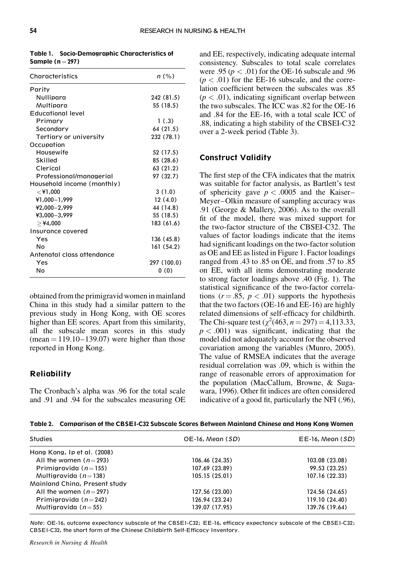| Characteristics            | $n$ (%)     |
|----------------------------|-------------|
| Parity                     |             |
| Nullipara                  | 242 (81.5)  |
| Multipara                  | 55 (18.5)   |
| <b>Educational level</b>   |             |
| Primary                    | 1(.3)       |
| Secondary                  | 64 (21.5)   |
| Tertiary or university     | 232 (78.1)  |
| Occupation                 |             |
| Housewife                  | 52 (17.5)   |
| Skilled                    | 85 (28.6)   |
| Clerical                   | 63 (21.2)   |
| Professional/managerial    | 97 (32.7)   |
| Household income (monthly) |             |
| $<$ ¥1,000                 | 3(1.0)      |
| ¥1,000-1,999               | 12(4.0)     |
| $42,000 - 2,999$           | 44 (14.8)   |
| ¥3,000-3,999               | 55 (18.5)   |
| $>$ ¥4,000                 | 183 (61.6)  |
| Insurance covered          |             |
| Yes                        | 136 (45.8)  |
| N٥                         | 161(54.2)   |
| Antenatal class attendance |             |
| Yes                        | 297 (100.0) |
| N٥                         | 0(0)        |

Table 1. Socio-Demographic Characteristics of Sample ( $n = 297$ )

obtained from the primigravid women in mainland China in this study had a similar pattern to the previous study in Hong Kong, with OE scores higher than EE scores. Apart from this similarity, all the subscale mean scores in this study  $(mean = 119.10 - 139.07)$  were higher than those reported in Hong Kong.

## **Reliability**

The Cronbach's alpha was .96 for the total scale and .91 and .94 for the subscales measuring OE and EE, respectively, indicating adequate internal consistency. Subscales to total scale correlates were .95 ( $p < .01$ ) for the OE-16 subscale and .96  $(p < .01)$  for the EE-16 subscale, and the correlation coefficient between the subscales was .85  $(p < .01)$ , indicating significant overlap between the two subscales. The ICC was .82 for the OE-16 and .84 for the EE-16, with a total scale ICC of .88, indicating a high stability of the CBSEI-C32 over a 2-week period (Table 3).

# Construct Validity

The first step of the CFA indicates that the matrix was suitable for factor analysis, as Bartlett's test of sphericity gave  $p < .0005$  and the Kaiser– Meyer–Olkin measure of sampling accuracy was .91 (George & Mallery, 2006). As to the overall fit of the model, there was mixed support for the two-factor structure of the CBSEI-C32. The values of factor loadings indicate that the items had significant loadings on the two-factor solution as OE and EE as listed in Figure 1. Factor loadings ranged from .43 to .85 on OE, and from .57 to .85 on EE, with all items demonstrating moderate to strong factor loadings above .40 (Fig. 1). The statistical significance of the two-factor correlations ( $r = .85$ ,  $p < .01$ ) supports the hypothesis that the two factors (OE-16 and EE-16) are highly related dimensions of self-efficacy for childbirth. The Chi-square test  $(\chi^2(463, n = 297) = 4,113.33,$  $p < .001$ ) was significant, indicating that the model did not adequately account for the observed covariation among the variables (Munro, 2005). The value of RMSEA indicates that the average residual correlation was .09, which is within the range of reasonable errors of approximation for the population (MacCallum, Browne, & Sugawara, 1996). Other fit indices are often considered indicative of a good fit, particularly the NFI (.96),

Table 2. Comparison of the CBSEI-C32 Subscale Scores Between Mainland Chinese and Hong Kong Women

| Studies                       | $OE-16$ , Mean $(SD)$ | $E E$ -16, Mean $(SD)$ |  |
|-------------------------------|-----------------------|------------------------|--|
| Hong Kong, Ip et al. (2008)   |                       |                        |  |
| All the women $(n=293)$       | 106.46 (24.35)        | 103.08 (23.08)         |  |
| Primigravida ( $n = 155$ )    | 107.69 (23.89)        | 99.53 (23.25)          |  |
| Multigravida ( $n = 138$ )    | 105.15(25.01)         | 107.16 (22.33)         |  |
| Mainland China, Present study |                       |                        |  |
| All the women $(n=297)$       | 127.56 (23.00)        | 124.56 (24.65)         |  |
| Primigravida ( $n=242$ )      | 126.94 (23.24)        | 119.10 (24.40)         |  |
| Multigravida ( $n = 55$ )     | 139.07 (17.95)        | 139.76 (19.64)         |  |
|                               |                       |                        |  |

Note: OE-16, outcome expectancy subscale of the CBSEI-C32; EE-16, efficacy expectancy subscale of the CBSEI-C32; CBSEI-C32, the short form of the Chinese Childbirth Self-Efficacy Inventory.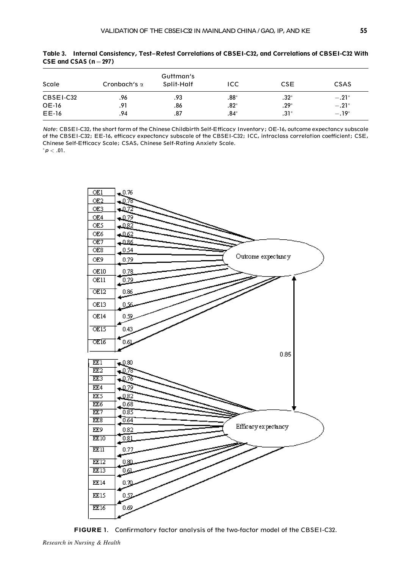| ___ ____ _____ |                     |                         |         |            |             |  |
|----------------|---------------------|-------------------------|---------|------------|-------------|--|
| Scale          | Cronbach's $\alpha$ | Guttman's<br>Split-Half | ICC     | <b>CSE</b> | <b>CSAS</b> |  |
| CBSEI-C32      | .96                 | .93                     | $.88^*$ | $.32*$     | $-.21*$     |  |
| OE-16          | .91                 | .86                     | $.82*$  | $.29*$     | $-.21*$     |  |
| EE-16          | .94                 | .87                     | .84*    | $.31*$     | $-.19*$     |  |

Table 3. Internal Consistency, Test–Retest Correlations of CBSEI-C32, and Correlations of CBSEI-C32 With  $CSE$  and  $CSAS$  (n = 297)

Note: CBSEI-C32, the short form of the Chinese Childbirth Self-Efficacy Inventory; OE-16, outcome expectancy subscale of the CBSEI-C32; EE-16, efficacy expectancy subscale of the CBSEI-C32; ICC, intraclass correlation coefficient; CSE, Chinese Self-Efficacy Scale; CSAS, Chinese Self-Rating Anxiety Scale.  $p < .01$ .



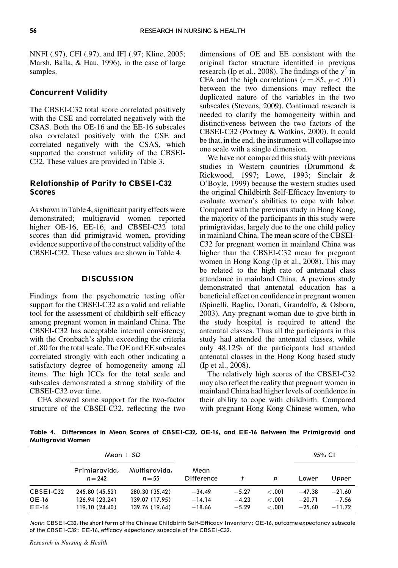NNFI (.97), CFI (.97), and IFI (.97; Kline, 2005; Marsh, Balla, & Hau, 1996), in the case of large samples.

# Concurrent Validity

The CBSEI-C32 total score correlated positively with the CSE and correlated negatively with the CSAS. Both the OE-16 and the EE-16 subscales also correlated positively with the CSE and correlated negatively with the CSAS, which supported the construct validity of the CBSEI-C32. These values are provided in Table 3.

# Relationship of Parity to CBSEI-C32 **Scores**

As shown in Table 4, significant parity effects were demonstrated; multigravid women reported higher OE-16, EE-16, and CBSEI-C32 total scores than did primigravid women, providing evidence supportive of the construct validity of the CBSEI-C32. These values are shown in Table 4.

# **DISCUSSION**

Findings from the psychometric testing offer support for the CBSEI-C32 as a valid and reliable tool for the assessment of childbirth self-efficacy among pregnant women in mainland China. The CBSEI-C32 has acceptable internal consistency, with the Cronbach's alpha exceeding the criteria of .80 for the total scale. The OE and EE subscales correlated strongly with each other indicating a satisfactory degree of homogeneity among all items. The high ICCs for the total scale and subscales demonstrated a strong stability of the CBSEI-C32 over time.

CFA showed some support for the two-factor structure of the CBSEI-C32, reflecting the two dimensions of OE and EE consistent with the original factor structure identified in previous research (Ip et al., 2008). The findings of the  $\gamma^2$  in CFA and the high correlations ( $r = .85$ ,  $p < .01$ ) between the two dimensions may reflect the duplicated nature of the variables in the two subscales (Stevens, 2009). Continued research is needed to clarify the homogeneity within and distinctiveness between the two factors of the CBSEI-C32 (Portney & Watkins, 2000). It could be that, in the end, the instrument will collapse into one scale with a single dimension.

We have not compared this study with previous studies in Western countries (Drummond & Rickwood, 1997; Lowe, 1993; Sinclair & O'Boyle, 1999) because the western studies used the original Childbirth Self-Efficacy Inventory to evaluate women's abilities to cope with labor. Compared with the previous study in Hong Kong, the majority of the participants in this study were primigravidas, largely due to the one child policy in mainland China. The mean score of the CBSEI-C32 for pregnant women in mainland China was higher than the CBSEI-C32 mean for pregnant women in Hong Kong (Ip et al., 2008). This may be related to the high rate of antenatal class attendance in mainland China. A previous study demonstrated that antenatal education has a beneficial effect on confidence in pregnant women (Spinelli, Baglio, Donati, Grandolfo, & Osborn, 2003). Any pregnant woman due to give birth in the study hospital is required to attend the antenatal classes. Thus all the participants in this study had attended the antenatal classes, while only 48.12% of the participants had attended antenatal classes in the Hong Kong based study (Ip et al., 2008).

The relatively high scores of the CBSEI-C32 may also reflect the reality that pregnant women in mainland China had higher levels of confidence in their ability to cope with childbirth. Compared with pregnant Hong Kong Chinese women, who

Table 4. Differences in Mean Scores of CBSEI-C32, OE-16, and EE-16 Between the Primigravid and Multigravid Women

|                             | Mean $\pm$ SD                                      |                                                    |                                  |                               |                            | 95% CI                           |                                 |
|-----------------------------|----------------------------------------------------|----------------------------------------------------|----------------------------------|-------------------------------|----------------------------|----------------------------------|---------------------------------|
|                             | Primigravida,<br>$n = 242$                         | Multigravida,<br>$n = 55$                          | Mean<br><b>Difference</b>        |                               | p                          | Lower                            | Upper                           |
| CBSEI-C32<br>OE-16<br>EE-16 | 245.80 (45.52)<br>126.94 (23.24)<br>119.10 (24.40) | 280.30 (35.42)<br>139.07 (17.95)<br>139.76 (19.64) | $-34.49$<br>$-14.14$<br>$-18.66$ | $-5.27$<br>$-4.23$<br>$-5.29$ | < .001<br>< 0.01<br>< .001 | $-47.38$<br>$-20.71$<br>$-25.60$ | $-21.60$<br>$-7.56$<br>$-11.72$ |

Note: CBSEI-C32, the short form of the Chinese Childbirth Self-Efficacy Inventory; OE-16, outcome expectancy subscale of the CBSEI-C32; EE-16, efficacy expectancy subscale of the CBSEI-C32.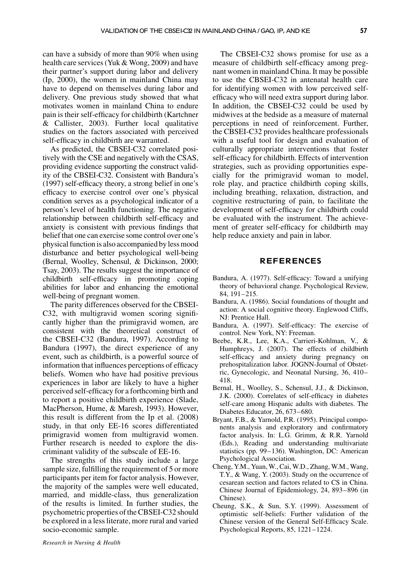can have a subsidy of more than 90% when using health care services (Yuk & Wong, 2009) and have their partner's support during labor and delivery (Ip, 2000), the women in mainland China may have to depend on themselves during labor and delivery. One previous study showed that what motivates women in mainland China to endure pain is their self-efficacy for childbirth (Kartchner & Callister, 2003). Further local qualitative studies on the factors associated with perceived self-efficacy in childbirth are warranted.

As predicted, the CBSEI-C32 correlated positively with the CSE and negatively with the CSAS, providing evidence supporting the construct validity of the CBSEI-C32. Consistent with Bandura's (1997) self-efficacy theory, a strong belief in one's efficacy to exercise control over one's physical condition serves as a psychological indicator of a person's level of health functioning. The negative relationship between childbirth self-efficacy and anxiety is consistent with previous findings that belief that one can exercise some control over one's physical function is also accompanied by less mood disturbance and better psychological well-being (Bernal, Woolley, Schensul, & Dickinson, 2000; Tsay, 2003). The results suggest the importance of childbirth self-efficacy in promoting coping abilities for labor and enhancing the emotional well-being of pregnant women.

The parity differences observed for the CBSEI-C32, with multigravid women scoring significantly higher than the primigravid women, are consistent with the theoretical construct of the CBSEI-C32 (Bandura, 1997). According to Bandura (1997), the direct experience of any event, such as childbirth, is a powerful source of information that influences perceptions of efficacy beliefs. Women who have had positive previous experiences in labor are likely to have a higher perceived self-efficacy for a forthcoming birth and to report a positive childbirth experience (Slade, MacPherson, Hume, & Maresh, 1993). However, this result is different from the Ip et al. (2008) study, in that only EE-16 scores differentiated primigravid women from multigravid women. Further research is needed to explore the discriminant validity of the subscale of EE-16.

The strengths of this study include a large sample size, fulfilling the requirement of 5 or more participants per item for factor analysis. However, the majority of the samples were well educated, married, and middle-class, thus generalization of the results is limited. In further studies, the psychometric properties of the CBSEI-C32 should be explored in a less literate, more rural and varied socio-economic sample.

The CBSEI-C32 shows promise for use as a measure of childbirth self-efficacy among pregnant women in mainland China. It may be possible to use the CBSEI-C32 in antenatal health care for identifying women with low perceived selfefficacy who will need extra support during labor. In addition, the CBSEI-C32 could be used by midwives at the bedside as a measure of maternal perceptions in need of reinforcement. Further, the CBSEI-C32 provides healthcare professionals with a useful tool for design and evaluation of culturally appropriate interventions that foster self-efficacy for childbirth. Effects of intervention strategies, such as providing opportunities especially for the primigravid woman to model, role play, and practice childbirth coping skills, including breathing, relaxation, distraction, and cognitive restructuring of pain, to facilitate the development of self-efficacy for childbirth could be evaluated with the instrument. The achievement of greater self-efficacy for childbirth may help reduce anxiety and pain in labor.

## REFERENCES

- Bandura, A. (1977). Self-efficacy: Toward a unifying theory of behavioral change. Psychological Review, 84, 191–215.
- Bandura, A. (1986). Social foundations of thought and action: A social cognitive theory. Englewood Cliffs, NJ: Prentice Hall.
- Bandura, A. (1997). Self-efficacy: The exercise of control. New York, NY: Freeman.
- Beebe, K.R., Lee, K.A., Carrieri-Kohlman, V., & Humphreys, J. (2007). The effects of childbirth self-efficacy and anxiety during pregnancy on prehospitalization labor. JOGNN-Journal of Obstetric, Gynecologic, and Neonatal Nursing, 36, 410– 418.
- Bernal, H., Woolley, S., Schensul, J.J., & Dickinson, J.K. (2000). Correlates of self-efficacy in diabetes self-care among Hispanic adults with diabetes. The Diabetes Educator, 26, 673–680.
- Bryant, F.B., & Yarnold, P.R. (1995). Principal components analysis and exploratory and confirmatory factor analysis. In: L.G. Grimm, & R.R. Yarnold (Eds.), Reading and understanding multivariate statistics (pp. 99–136). Washington, DC: American Psychological Association.
- Cheng, Y.M., Yuan, W., Cai, W.D., Zhang, W.M., Wang, T.Y., & Wang, Y. (2003). Study on the occurrence of cesarean section and factors related to CS in China. Chinese Journal of Epidemiology, 24, 893–896 (in Chinese).
- Cheung, S.K., & Sun, S.Y. (1999). Assessment of optimistic self-beliefs: Further validation of the Chinese version of the General Self-Efficacy Scale. Psychological Reports, 85, 1221–1224.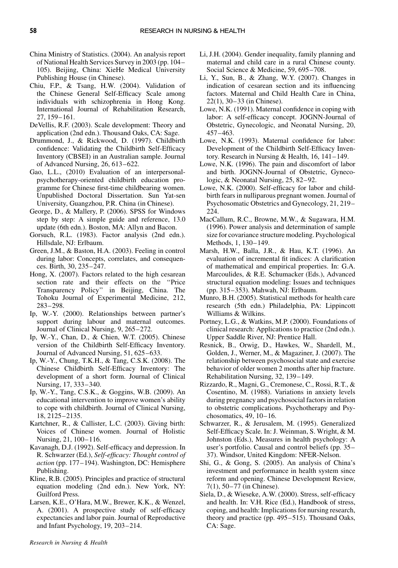- China Ministry of Statistics. (2004). An analysis report of National Health Services Survey in 2003 (pp. 104– 105). Beijing, China: XieHe Medical University Publishing House (in Chinese).
- Chiu, F.P., & Tsang, H.W. (2004). Validation of the Chinese General Self-Efficacy Scale among individuals with schizophrenia in Hong Kong. International Journal of Rehabilitation Research, 27, 159–161.
- DeVellis, R.F. (2003). Scale development: Theory and application (2nd edn.). Thousand Oaks, CA: Sage.
- Drummond, J., & Rickwood, D. (1997). Childbirth confidence: Validating the Childbirth Self-Efficacy Inventory (CBSEI) in an Australian sample. Journal of Advanced Nursing, 26, 613–622.
- Gao, L.L., (2010) Evaluation of an interpersonalpsychotherapy-oriented childbirth education programme for Chinese first-time childbearing women. Unpublished Doctoral Dissertation. Sun Yat-sen University, Guangzhou, P.R. China (in Chinese).
- George, D., & Mallery, P. (2006). SPSS for Windows step by step: A simple guide and reference, 13.0 update (6th edn.). Boston, MA: Allyn and Bacon.
- Gorsuch, R.L. (1983). Factor analysis (2nd edn.). Hillsdale, NJ: Erlbaum.
- Green, J.M., & Baston, H.A. (2003). Feeling in control during labor: Concepts, correlates, and consequences. Birth, 30, 235–247.
- Hong, X. (2007). Factors related to the high cesarean section rate and their effects on the ''Price Transparency Policy'' in Beijing, China. The Tohoku Journal of Experimental Medicine, 212, 283–298.
- Ip, W.-Y. (2000). Relationships between partner's support during labour and maternal outcomes. Journal of Clinical Nursing, 9, 265–272.
- Ip, W.-Y., Chan, D., & Chien, W.T. (2005). Chinese version of the Childbirth Self-Efficacy Inventory. Journal of Advanced Nursing, 51, 625–633.
- Ip, W.-Y., Chung, T.K.H., & Tang, C.S.K. (2008). The Chinese Childbirth Self-Efficacy Inventory: The development of a short form. Journal of Clinical Nursing, 17, 333–340.
- Ip, W.-Y., Tang, C.S.K., & Goggins, W.B. (2009). An educational intervention to improve women's ability to cope with childbirth. Journal of Clinical Nursing, 18, 2125–2135.
- Kartchner, R., & Callister, L.C. (2003). Giving birth: Voices of Chinese women. Journal of Holistic Nursing, 21, 100–116.
- Kavanagh, D.J. (1992). Self-efficacy and depression. In R. Schwarzer (Ed.), Self-efficacy: Thought control of action (pp. 177–194). Washington, DC: Hemisphere Publishing.
- Kline, R.B. (2005). Principles and practice of structural equation modeling (2nd edn.). New York, NY: Guilford Press.
- Larsen, K.E., O'Hara, M.W., Brewer, K.K., & Wenzel, A. (2001). A prospective study of self-efficacy expectancies and labor pain. Journal of Reproductive and Infant Psychology, 19, 203–214.
- Li, J.H. (2004). Gender inequality, family planning and maternal and child care in a rural Chinese county. Social Science & Medicine, 59, 695–708.
- Li, Y., Sun, B., & Zhang, W.Y. (2007). Changes in indication of cesarean section and its influencing factors. Maternal and Child Health Care in China, 22(1), 30–33 (in Chinese).
- Lowe, N.K. (1991). Maternal confidence in coping with labor: A self-efficacy concept. JOGNN-Journal of Obstetric, Gynecologic, and Neonatal Nursing, 20, 457–463.
- Lowe, N.K. (1993). Maternal confidence for labor: Development of the Childbirth Self-Efficacy Inventory. Research in Nursing & Health, 16, 141–149.
- Lowe, N.K. (1996). The pain and discomfort of labor and birth. JOGNN-Journal of Obstetric, Gynecologic, & Neonatal Nursing, 25, 82–92.
- Lowe, N.K. (2000). Self-efficacy for labor and childbirth fears in nulliparous pregnant women. Journal of Psychosomatic Obstetrics and Gynecology, 21, 219– 224.
- MacCallum, R.C., Browne, M.W., & Sugawara, H.M. (1996). Power analysis and determination of sample size for covariance structure modeling. Psychological Methods, 1, 130–149.
- Marsh, H.W., Balla, J.R., & Hau, K.T. (1996). An evaluation of incremental fit indices: A clarification of mathematical and empirical properties. In: G.A. Marcoulides, & R.E. Schumacker (Eds.), Advanced structural equation modeling: Issues and techniques (pp. 315–353). Mahwah, NJ: Erlbaum.
- Munro, B.H. (2005). Statistical methods for health care research (5th edn.) Philadelphia, PA: Lippincott Williams & Wilkins.
- Portney, L.G., & Watkins, M.P. (2000). Foundations of clinical research: Applications to practice (2nd edn.). Upper Saddle River, NJ: Prentice Hall.
- Resnick, B., Orwig, D., Hawkes, W., Shardell, M., Golden, J., Werner, M., & Magaziner, J. (2007). The relationship between psychosocial state and exercise behavior of older women 2 months after hip fracture. Rehabilitation Nursing, 32, 139–149.
- Rizzardo, R., Magni, G., Cremonese, C., Rossi, R.T., & Cosentino, M. (1988). Variations in anxiety levels during pregnancy and psychosocial factors in relation to obstetric complications. Psychotherapy and Psychosomatics, 49, 10–16.
- Schwarzer, R., & Jerusalem, M. (1995). Generalized Self-Efficacy Scale. In: J. Weinman, S. Wright, & M. Johnston (Eds.), Measures in health psychology: A user's portfolio. Causal and control beliefs (pp. 35– 37). Windsor, United Kingdom: NFER-Nelson.
- Shi, G., & Gong, S. (2005). An analysis of China's investment and performance in health system since reform and opening. Chinese Development Review, 7(1), 50–77 (in Chinese).
- Siela, D., & Wieseke, A.W. (2000). Stress, self-efficacy and health. In: V.H. Rice (Ed.), Handbook of stress, coping, and health: Implications for nursing research, theory and practice (pp. 495–515). Thousand Oaks, CA: Sage.